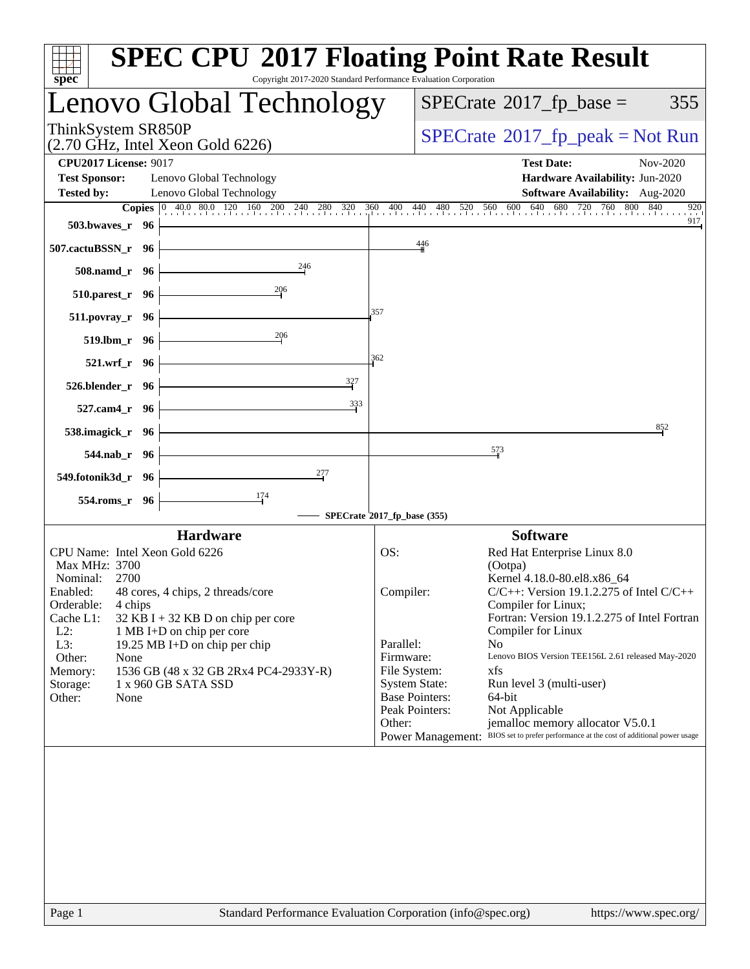| $spec^*$                                                                                                                                                                                        | <b>SPEC CPU®2017 Floating Point Rate Result</b><br>Copyright 2017-2020 Standard Performance Evaluation Corporation                                                                                                                                                                                                                                                           |
|-------------------------------------------------------------------------------------------------------------------------------------------------------------------------------------------------|------------------------------------------------------------------------------------------------------------------------------------------------------------------------------------------------------------------------------------------------------------------------------------------------------------------------------------------------------------------------------|
| Lenovo Global Technology                                                                                                                                                                        | $SPECrate^{\circ}2017$ _fp_base =<br>355                                                                                                                                                                                                                                                                                                                                     |
| ThinkSystem SR850P<br>$(2.70 \text{ GHz}, \text{Intel Xeon Gold } 6226)$                                                                                                                        | $SPECrate^{\circ}2017$ [p_peak = Not Run                                                                                                                                                                                                                                                                                                                                     |
| <b>CPU2017 License: 9017</b><br><b>Test Sponsor:</b><br>Lenovo Global Technology<br><b>Tested by:</b><br>Lenovo Global Technology                                                               | <b>Test Date:</b><br>Nov-2020<br>Hardware Availability: Jun-2020<br><b>Software Availability:</b> Aug-2020                                                                                                                                                                                                                                                                   |
| 503.bwayes_r 96<br>507.cactuBSSN_r 96                                                                                                                                                           | <b>Copies</b> $\begin{bmatrix} 0 & 40.0 & 80.0 & 120 & 160 & 200 & 240 & 280 & 320 & 360 & 400 & 440 & 480 & 520 & 560 & 600 & 640 & 680 & 720 & 760 & 800 & 840 \end{bmatrix}$<br>920<br>917<br>446                                                                                                                                                                         |
| 246<br>508.namd_r 96                                                                                                                                                                            |                                                                                                                                                                                                                                                                                                                                                                              |
| 206<br>$510.parest_r$ 96                                                                                                                                                                        |                                                                                                                                                                                                                                                                                                                                                                              |
| $511. povray_r$ 96                                                                                                                                                                              | 357                                                                                                                                                                                                                                                                                                                                                                          |
| 206<br>519.1bm r 96                                                                                                                                                                             | 362                                                                                                                                                                                                                                                                                                                                                                          |
| 521.wrf_r 96<br>327<br>526.blender_r 96                                                                                                                                                         |                                                                                                                                                                                                                                                                                                                                                                              |
| 333<br>527.cam4_r 96                                                                                                                                                                            |                                                                                                                                                                                                                                                                                                                                                                              |
| 538.imagick_r 96                                                                                                                                                                                | 852                                                                                                                                                                                                                                                                                                                                                                          |
| 544.nab_r 96                                                                                                                                                                                    | $\frac{573}{2}$                                                                                                                                                                                                                                                                                                                                                              |
| 277<br>549.fotonik3d_r 96<br>174                                                                                                                                                                |                                                                                                                                                                                                                                                                                                                                                                              |
| 554.roms_r 96                                                                                                                                                                                   | SPECrate®2017_fp_base (355)                                                                                                                                                                                                                                                                                                                                                  |
| <b>Hardware</b><br>CPU Name: Intel Xeon Gold 6226                                                                                                                                               | <b>Software</b><br>OS:<br>Red Hat Enterprise Linux 8.0                                                                                                                                                                                                                                                                                                                       |
| Max MHz: 3700<br>Nominal: 2700<br>Enabled: 48 cores, 4 chips, 2 threads/core<br>Orderable:<br>4 chips<br>Cache L1:<br>32 KB I + 32 KB D on chip per core<br>$L2$ :<br>1 MB I+D on chip per core | (Ootpa)<br>Kernel 4.18.0-80.el8.x86 64<br>$C/C++$ : Version 19.1.2.275 of Intel $C/C++$<br>Compiler:<br>Compiler for Linux;<br>Fortran: Version 19.1.2.275 of Intel Fortran<br>Compiler for Linux                                                                                                                                                                            |
| L3:<br>19.25 MB I+D on chip per chip<br>Other:<br>None<br>1536 GB (48 x 32 GB 2Rx4 PC4-2933Y-R)<br>Memory:<br>1 x 960 GB SATA SSD<br>Storage:<br>Other:<br>None                                 | Parallel:<br>No<br>Firmware:<br>Lenovo BIOS Version TEE156L 2.61 released May-2020<br>xfs<br>File System:<br><b>System State:</b><br>Run level 3 (multi-user)<br><b>Base Pointers:</b><br>64-bit<br>Peak Pointers:<br>Not Applicable<br>jemalloc memory allocator V5.0.1<br>Other:<br>Power Management: BIOS set to prefer performance at the cost of additional power usage |
|                                                                                                                                                                                                 |                                                                                                                                                                                                                                                                                                                                                                              |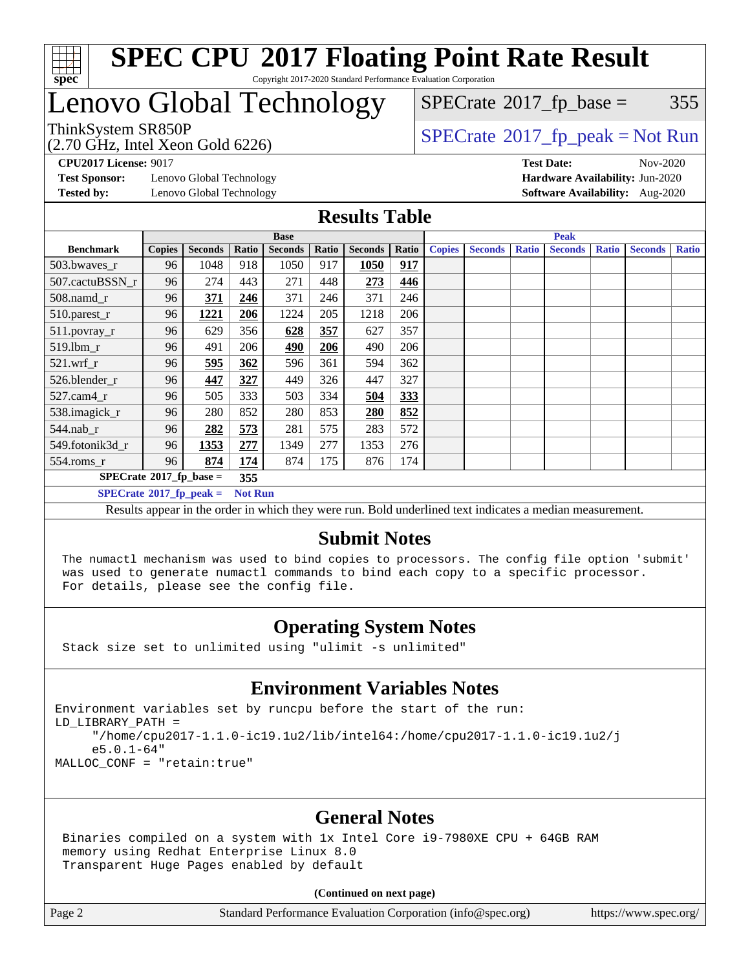

### Lenovo Global Technology

(2.70 GHz, Intel Xeon Gold 6226)

 $SPECTate$ <sup>®</sup>[2017\\_fp\\_base =](http://www.spec.org/auto/cpu2017/Docs/result-fields.html#SPECrate2017fpbase) 355

ThinkSystem SR850P<br>  $\begin{array}{c}\n\sqrt{370} \text{ GHz} \text{ Total} \text{m} \\
\text{SPECTate} \text{2017\_fp\_peak} = \text{Not Run}\n\end{array}$ 

**[CPU2017 License:](http://www.spec.org/auto/cpu2017/Docs/result-fields.html#CPU2017License)** 9017 **[Test Date:](http://www.spec.org/auto/cpu2017/Docs/result-fields.html#TestDate)** Nov-2020

**[Test Sponsor:](http://www.spec.org/auto/cpu2017/Docs/result-fields.html#TestSponsor)** Lenovo Global Technology **[Hardware Availability:](http://www.spec.org/auto/cpu2017/Docs/result-fields.html#HardwareAvailability)** Jun-2020 **[Tested by:](http://www.spec.org/auto/cpu2017/Docs/result-fields.html#Testedby)** Lenovo Global Technology **[Software Availability:](http://www.spec.org/auto/cpu2017/Docs/result-fields.html#SoftwareAvailability)** Aug-2020

#### **[Results Table](http://www.spec.org/auto/cpu2017/Docs/result-fields.html#ResultsTable)**

|                                   |               |                |                | <b>Base</b>    |       |                |       | <b>Peak</b>   |                |              |                |              |                |              |
|-----------------------------------|---------------|----------------|----------------|----------------|-------|----------------|-------|---------------|----------------|--------------|----------------|--------------|----------------|--------------|
| <b>Benchmark</b>                  | <b>Copies</b> | <b>Seconds</b> | Ratio          | <b>Seconds</b> | Ratio | <b>Seconds</b> | Ratio | <b>Copies</b> | <b>Seconds</b> | <b>Ratio</b> | <b>Seconds</b> | <b>Ratio</b> | <b>Seconds</b> | <b>Ratio</b> |
| $503.bwaves_r$                    | 96            | 1048           | 918            | 1050           | 917   | 1050           | 917   |               |                |              |                |              |                |              |
| 507.cactuBSSN r                   | 96            | 274            | 443            | 271            | 448   | 273            | 446   |               |                |              |                |              |                |              |
| $508$ .namd $r$                   | 96            | 371            | 246            | 371            | 246   | 371            | 246   |               |                |              |                |              |                |              |
| 510.parest_r                      | 96            | 1221           | 206            | 1224           | 205   | 1218           | 206   |               |                |              |                |              |                |              |
| 511.povray_r                      | 96            | 629            | 356            | 628            | 357   | 627            | 357   |               |                |              |                |              |                |              |
| 519.1bm r                         | 96            | 491            | 206            | 490            | 206   | 490            | 206   |               |                |              |                |              |                |              |
| $521$ .wrf r                      | 96            | 595            | 362            | 596            | 361   | 594            | 362   |               |                |              |                |              |                |              |
| 526.blender r                     | 96            | 447            | 327            | 449            | 326   | 447            | 327   |               |                |              |                |              |                |              |
| $527$ .cam $4r$                   | 96            | 505            | 333            | 503            | 334   | 504            | 333   |               |                |              |                |              |                |              |
| 538.imagick_r                     | 96            | 280            | 852            | 280            | 853   | 280            | 852   |               |                |              |                |              |                |              |
| 544.nab r                         | 96            | 282            | 573            | 281            | 575   | 283            | 572   |               |                |              |                |              |                |              |
| 549.fotonik3d r                   | 96            | 1353           | 277            | 1349           | 277   | 1353           | 276   |               |                |              |                |              |                |              |
| $554$ .roms_r                     | 96            | 874            | 174            | 874            | 175   | 876            | 174   |               |                |              |                |              |                |              |
| $SPECrate^{\circ}2017$ fp base =  |               |                | 355            |                |       |                |       |               |                |              |                |              |                |              |
| $SPECrate^{\circ}2017$ _fp_peak = |               |                | <b>Not Run</b> |                |       |                |       |               |                |              |                |              |                |              |

Results appear in the [order in which they were run](http://www.spec.org/auto/cpu2017/Docs/result-fields.html#RunOrder). Bold underlined text [indicates a median measurement](http://www.spec.org/auto/cpu2017/Docs/result-fields.html#Median).

### **[Submit Notes](http://www.spec.org/auto/cpu2017/Docs/result-fields.html#SubmitNotes)**

 The numactl mechanism was used to bind copies to processors. The config file option 'submit' was used to generate numactl commands to bind each copy to a specific processor. For details, please see the config file.

### **[Operating System Notes](http://www.spec.org/auto/cpu2017/Docs/result-fields.html#OperatingSystemNotes)**

Stack size set to unlimited using "ulimit -s unlimited"

#### **[Environment Variables Notes](http://www.spec.org/auto/cpu2017/Docs/result-fields.html#EnvironmentVariablesNotes)**

Environment variables set by runcpu before the start of the run: LD\_LIBRARY\_PATH = "/home/cpu2017-1.1.0-ic19.1u2/lib/intel64:/home/cpu2017-1.1.0-ic19.1u2/j e5.0.1-64" MALLOC\_CONF = "retain:true"

### **[General Notes](http://www.spec.org/auto/cpu2017/Docs/result-fields.html#GeneralNotes)**

 Binaries compiled on a system with 1x Intel Core i9-7980XE CPU + 64GB RAM memory using Redhat Enterprise Linux 8.0 Transparent Huge Pages enabled by default

#### **(Continued on next page)**

Page 2 Standard Performance Evaluation Corporation [\(info@spec.org\)](mailto:info@spec.org) <https://www.spec.org/>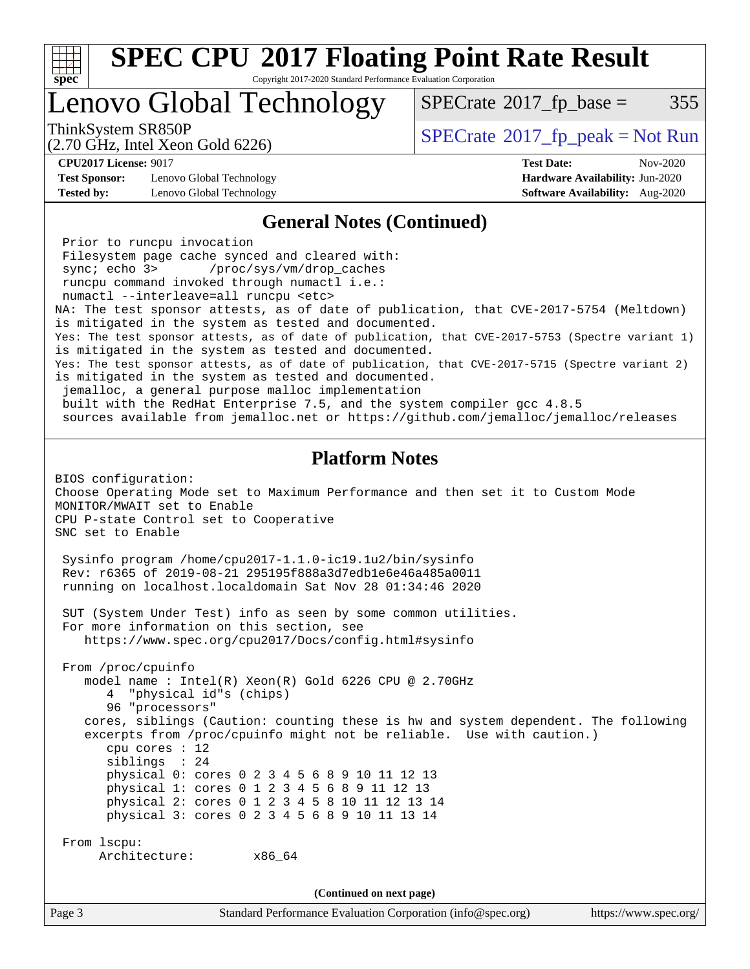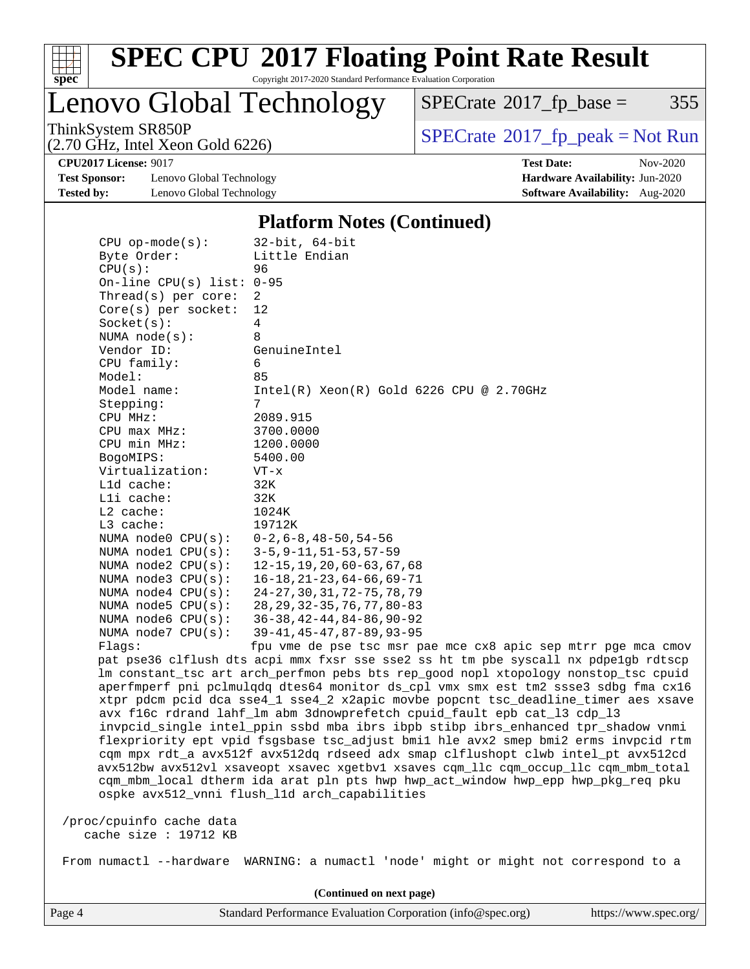

Copyright 2017-2020 Standard Performance Evaluation Corporation

Lenovo Global Technology

 $SPECTate@2017_fp\_base = 355$ 

(2.70 GHz, Intel Xeon Gold 6226)

ThinkSystem SR850P<br>  $(2.70 \text{ GHz})$  Intel Yeon Gold 6226)

**[Test Sponsor:](http://www.spec.org/auto/cpu2017/Docs/result-fields.html#TestSponsor)** Lenovo Global Technology **[Hardware Availability:](http://www.spec.org/auto/cpu2017/Docs/result-fields.html#HardwareAvailability)** Jun-2020 **[Tested by:](http://www.spec.org/auto/cpu2017/Docs/result-fields.html#Testedby)** Lenovo Global Technology **[Software Availability:](http://www.spec.org/auto/cpu2017/Docs/result-fields.html#SoftwareAvailability)** Aug-2020

**[CPU2017 License:](http://www.spec.org/auto/cpu2017/Docs/result-fields.html#CPU2017License)** 9017 **[Test Date:](http://www.spec.org/auto/cpu2017/Docs/result-fields.html#TestDate)** Nov-2020

#### **[Platform Notes \(Continued\)](http://www.spec.org/auto/cpu2017/Docs/result-fields.html#PlatformNotes)**

| $CPU$ op-mode( $s$ ):<br>Byte Order:               | $32$ -bit, $64$ -bit<br>Little Endian                                                                 |
|----------------------------------------------------|-------------------------------------------------------------------------------------------------------|
| CPU(s):                                            | 96                                                                                                    |
| On-line CPU $(s)$ list: 0-95                       |                                                                                                       |
| Thread(s) per core:                                | 2                                                                                                     |
| $Core(s)$ per socket:                              | 12                                                                                                    |
| Socket(s):                                         | 4                                                                                                     |
| NUMA $node(s)$ :                                   | 8                                                                                                     |
| Vendor ID:                                         | GenuineIntel                                                                                          |
| CPU family:                                        | 6                                                                                                     |
| Model:                                             | 85                                                                                                    |
| Model name:                                        | $Intel(R)$ Xeon $(R)$ Gold 6226 CPU @ 2.70GHz                                                         |
| Stepping:                                          | 7                                                                                                     |
| CPU MHz:                                           | 2089.915                                                                                              |
| CPU max MHz:                                       | 3700.0000                                                                                             |
| CPU min MHz:                                       | 1200.0000                                                                                             |
| BogoMIPS:                                          | 5400.00                                                                                               |
| Virtualization:                                    | $VT - x$                                                                                              |
| L1d cache:                                         | 32K                                                                                                   |
| Lli cache:                                         | 32K                                                                                                   |
| L2 cache:                                          | 1024K                                                                                                 |
| L3 cache:                                          | 19712K                                                                                                |
| NUMA $node0$ $CPU(s):$                             | $0 - 2$ , 6 – 8, 48 – 50, 54 – 56                                                                     |
| NUMA nodel CPU(s):                                 | $3 - 5, 9 - 11, 51 - 53, 57 - 59$                                                                     |
| NUMA $node2$ $CPU(s):$                             | 12-15, 19, 20, 60-63, 67, 68                                                                          |
| NUMA $node3$ $CPU(s)$ :                            | $16 - 18, 21 - 23, 64 - 66, 69 - 71$                                                                  |
| NUMA $node4$ $CPU(s):$                             | 24-27, 30, 31, 72-75, 78, 79                                                                          |
| NUMA $node5$ $CPU(s):$                             | 28, 29, 32-35, 76, 77, 80-83                                                                          |
| NUMA $node6$ $CPU(s):$<br>NUMA $node7$ CPU $(s)$ : | $36 - 38, 42 - 44, 84 - 86, 90 - 92$                                                                  |
| Flaqs:                                             | $39 - 41, 45 - 47, 87 - 89, 93 - 95$<br>fpu vme de pse tsc msr pae mce cx8 apic sep mtrr pge mca cmov |
|                                                    | pat pse36 clflush dts acpi mmx fxsr sse sse2 ss ht tm pbe syscall nx pdpelgb rdtscp                   |
|                                                    | lm constant_tsc art arch_perfmon pebs bts rep_good nopl xtopology nonstop_tsc cpuid                   |
|                                                    | aperfmperf pni pclmulqdq dtes64 monitor ds_cpl vmx smx est tm2 ssse3 sdbg fma cx16                    |
|                                                    | xtpr pdcm pcid dca sse4_1 sse4_2 x2apic movbe popcnt tsc_deadline_timer aes xsave                     |
|                                                    | avx f16c rdrand lahf_lm abm 3dnowprefetch cpuid_fault epb cat_13 cdp_13                               |
|                                                    | invpcid_single intel_ppin ssbd mba ibrs ibpb stibp ibrs_enhanced tpr_shadow vnmi                      |
|                                                    | flexpriority ept vpid fsgsbase tsc_adjust bmil hle avx2 smep bmi2 erms invpcid rtm                    |
|                                                    | cqm mpx rdt_a avx512f avx512dq rdseed adx smap clflushopt clwb intel_pt avx512cd                      |
|                                                    | avx512bw avx512vl xsaveopt xsavec xgetbvl xsaves cqm_llc cqm_occup_llc cqm_mbm_total                  |
|                                                    | cqm_mbm_local dtherm ida arat pln pts hwp hwp_act_window hwp_epp hwp_pkg_req pku                      |
|                                                    | ospke avx512_vnni flush_l1d arch_capabilities                                                         |
|                                                    |                                                                                                       |
| /proc/cpuinfo cache data                           |                                                                                                       |
| cache size : 19712 KB                              |                                                                                                       |
| From numactl --hardware                            | WARNING: a numactl 'node' might or might not correspond to a                                          |
|                                                    |                                                                                                       |

**(Continued on next page)**

Page 4 Standard Performance Evaluation Corporation [\(info@spec.org\)](mailto:info@spec.org) <https://www.spec.org/>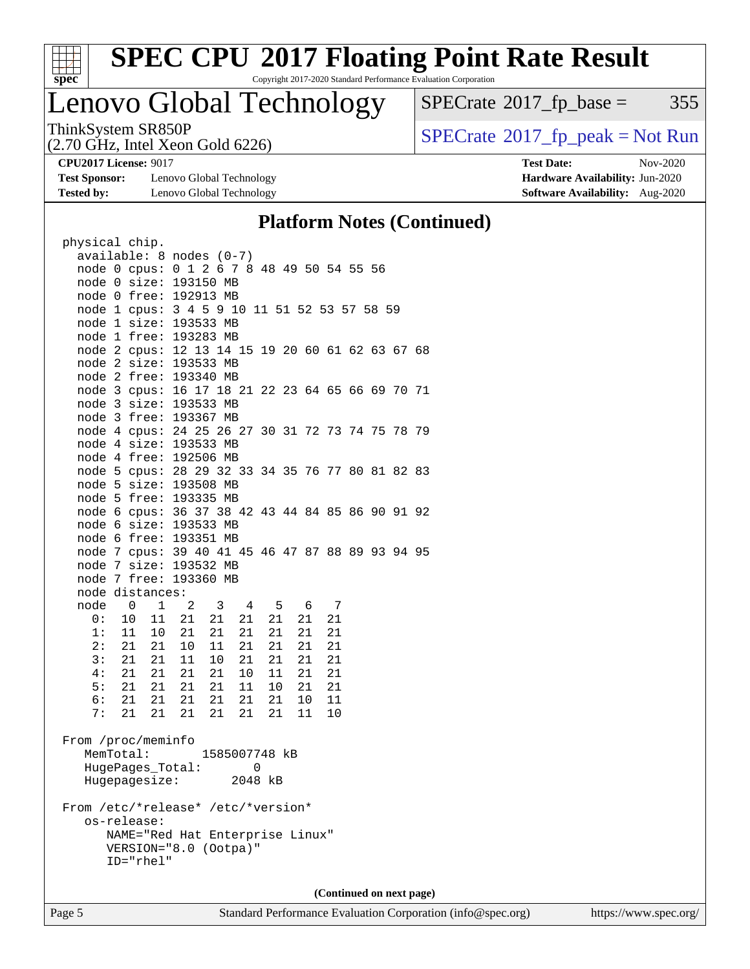

Copyright 2017-2020 Standard Performance Evaluation Corporation

## Lenovo Global Technology

 $SPECTate@2017_fp\_base = 355$ 

(2.70 GHz, Intel Xeon Gold 6226)

**[Test Sponsor:](http://www.spec.org/auto/cpu2017/Docs/result-fields.html#TestSponsor)** Lenovo Global Technology **[Hardware Availability:](http://www.spec.org/auto/cpu2017/Docs/result-fields.html#HardwareAvailability)** Jun-2020 **[Tested by:](http://www.spec.org/auto/cpu2017/Docs/result-fields.html#Testedby)** Lenovo Global Technology **[Software Availability:](http://www.spec.org/auto/cpu2017/Docs/result-fields.html#SoftwareAvailability)** Aug-2020

ThinkSystem SR850P<br>  $(2.70 \text{ GHz})$  Intel Yeon Gold 6226)

**[CPU2017 License:](http://www.spec.org/auto/cpu2017/Docs/result-fields.html#CPU2017License)** 9017 **[Test Date:](http://www.spec.org/auto/cpu2017/Docs/result-fields.html#TestDate)** Nov-2020

### **[Platform Notes \(Continued\)](http://www.spec.org/auto/cpu2017/Docs/result-fields.html#PlatformNotes)**

| physical chip.                                   |                                 |          |                          |  |
|--------------------------------------------------|---------------------------------|----------|--------------------------|--|
| available: 8 nodes (0-7)                         |                                 |          |                          |  |
| node 0 cpus: 0 1 2 6 7 8 48 49 50 54 55 56       |                                 |          |                          |  |
| node 0 size: 193150 MB                           |                                 |          |                          |  |
| node 0 free: 192913 MB                           |                                 |          |                          |  |
| node 1 cpus: 3 4 5 9 10 11 51 52 53 57 58 59     |                                 |          |                          |  |
| node 1 size: 193533 MB                           |                                 |          |                          |  |
| node 1 free: 193283 MB                           |                                 |          |                          |  |
| node 2 cpus: 12 13 14 15 19 20 60 61 62 63 67 68 |                                 |          |                          |  |
| node 2 size: 193533 MB                           |                                 |          |                          |  |
| node 2 free: 193340 MB                           |                                 |          |                          |  |
| node 3 cpus: 16 17 18 21 22 23 64 65 66 69 70 71 |                                 |          |                          |  |
| node 3 size: 193533 MB                           |                                 |          |                          |  |
| node 3 free: 193367 MB                           |                                 |          |                          |  |
| node 4 cpus: 24 25 26 27 30 31 72 73 74 75 78 79 |                                 |          |                          |  |
| node 4 size: 193533 MB                           |                                 |          |                          |  |
| node 4 free: 192506 MB                           |                                 |          |                          |  |
| node 5 cpus: 28 29 32 33 34 35 76 77 80 81 82 83 |                                 |          |                          |  |
| node 5 size: 193508 MB                           |                                 |          |                          |  |
| node 5 free: 193335 MB                           |                                 |          |                          |  |
| node 6 cpus: 36 37 38 42 43 44 84 85 86 90 91 92 |                                 |          |                          |  |
| node 6 size: 193533 MB                           |                                 |          |                          |  |
| node 6 free: 193351 MB                           |                                 |          |                          |  |
| node 7 cpus: 39 40 41 45 46 47 87 88 89 93 94 95 |                                 |          |                          |  |
| node 7 size: 193532 MB                           |                                 |          |                          |  |
| node 7 free: 193360 MB                           |                                 |          |                          |  |
| node distances:                                  |                                 |          |                          |  |
| node 0 1 2 3 4 5                                 |                                 | 6 7      |                          |  |
| 0:<br>10                                         | 11  21  21  21                  | 21  21   | 21                       |  |
| 1:<br>11                                         | 10 21<br>21 21                  | 21<br>21 | 21                       |  |
| 2:<br>21                                         | $21 \quad 10$<br>11 21          | 21<br>21 | 21                       |  |
| 3:<br>21                                         | 10 21<br>21 11                  | 21<br>21 | 21                       |  |
| 21<br>4:                                         | 21 21<br>21 10                  | 11<br>21 | 21                       |  |
| 5:<br>21                                         | 21 21<br>21<br>11               | 10<br>21 | 21                       |  |
| 21<br>6:                                         | 21<br>21  21<br>21              | 21<br>10 | 11                       |  |
| 7:<br>21                                         | 21 21<br>21<br>21               | 21 11    | $10$                     |  |
|                                                  |                                 |          |                          |  |
| From /proc/meminfo                               |                                 |          |                          |  |
| MemTotal:                                        | 1585007748 kB                   |          |                          |  |
| HugePages_Total:                                 |                                 | 0        |                          |  |
| Hugepagesize:                                    |                                 | 2048 kB  |                          |  |
|                                                  |                                 |          |                          |  |
| From /etc/*release* /etc/*version*               |                                 |          |                          |  |
| os-release:                                      |                                 |          |                          |  |
|                                                  | NAME="Red Hat Enterprise Linux" |          |                          |  |
|                                                  | VERSION="8.0 (Ootpa)"           |          |                          |  |
| $ID="rhe1"$                                      |                                 |          |                          |  |
|                                                  |                                 |          |                          |  |
|                                                  |                                 |          |                          |  |
|                                                  |                                 |          | (Continued on next page) |  |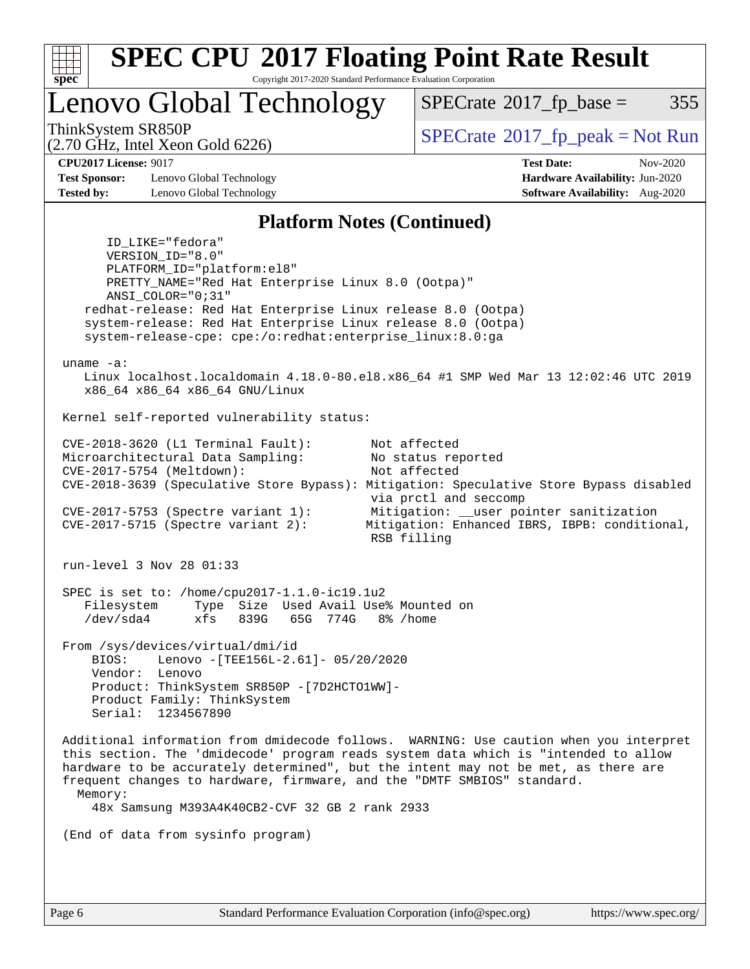

Copyright 2017-2020 Standard Performance Evaluation Corporation

Lenovo Global Technology

 $SPECTate$ <sup>®</sup>[2017\\_fp\\_base =](http://www.spec.org/auto/cpu2017/Docs/result-fields.html#SPECrate2017fpbase) 355

(2.70 GHz, Intel Xeon Gold 6226)

ThinkSystem SR850P<br>  $\begin{array}{c}\n\text{SPECrate} \textcirc 2017 \text{ fp } peak = Not Run\n\end{array}$  $\begin{array}{c}\n\text{SPECrate} \textcirc 2017 \text{ fp } peak = Not Run\n\end{array}$  $\begin{array}{c}\n\text{SPECrate} \textcirc 2017 \text{ fp } peak = Not Run\n\end{array}$ 

**[Test Sponsor:](http://www.spec.org/auto/cpu2017/Docs/result-fields.html#TestSponsor)** Lenovo Global Technology **[Hardware Availability:](http://www.spec.org/auto/cpu2017/Docs/result-fields.html#HardwareAvailability)** Jun-2020 **[Tested by:](http://www.spec.org/auto/cpu2017/Docs/result-fields.html#Testedby)** Lenovo Global Technology **[Software Availability:](http://www.spec.org/auto/cpu2017/Docs/result-fields.html#SoftwareAvailability)** Aug-2020

**[CPU2017 License:](http://www.spec.org/auto/cpu2017/Docs/result-fields.html#CPU2017License)** 9017 **[Test Date:](http://www.spec.org/auto/cpu2017/Docs/result-fields.html#TestDate)** Nov-2020

#### **[Platform Notes \(Continued\)](http://www.spec.org/auto/cpu2017/Docs/result-fields.html#PlatformNotes)**

 ID\_LIKE="fedora" VERSION\_ID="8.0" PLATFORM\_ID="platform:el8" PRETTY\_NAME="Red Hat Enterprise Linux 8.0 (Ootpa)" ANSI\_COLOR="0;31" redhat-release: Red Hat Enterprise Linux release 8.0 (Ootpa) system-release: Red Hat Enterprise Linux release 8.0 (Ootpa) system-release-cpe: cpe:/o:redhat:enterprise\_linux:8.0:ga uname -a: Linux localhost.localdomain 4.18.0-80.el8.x86\_64 #1 SMP Wed Mar 13 12:02:46 UTC 2019 x86\_64 x86\_64 x86\_64 GNU/Linux Kernel self-reported vulnerability status: CVE-2018-3620 (L1 Terminal Fault): Not affected Microarchitectural Data Sampling: No status reported CVE-2017-5754 (Meltdown): Not affected CVE-2018-3639 (Speculative Store Bypass): Mitigation: Speculative Store Bypass disabled via prctl and seccomp CVE-2017-5753 (Spectre variant 1): Mitigation: \_\_user pointer sanitization CVE-2017-5715 (Spectre variant 2): Mitigation: Enhanced IBRS, IBPB: conditional, RSB filling run-level 3 Nov 28 01:33 SPEC is set to: /home/cpu2017-1.1.0-ic19.1u2<br>Filesystem Type Size Used Avail Use Type Size Used Avail Use% Mounted on /dev/sda4 xfs 839G 65G 774G 8% /home From /sys/devices/virtual/dmi/id BIOS: Lenovo -[TEE156L-2.61]- 05/20/2020 Vendor: Lenovo Product: ThinkSystem SR850P -[7D2HCTO1WW]- Product Family: ThinkSystem Serial: 1234567890 Additional information from dmidecode follows. WARNING: Use caution when you interpret this section. The 'dmidecode' program reads system data which is "intended to allow hardware to be accurately determined", but the intent may not be met, as there are frequent changes to hardware, firmware, and the "DMTF SMBIOS" standard. Memory: 48x Samsung M393A4K40CB2-CVF 32 GB 2 rank 2933 (End of data from sysinfo program)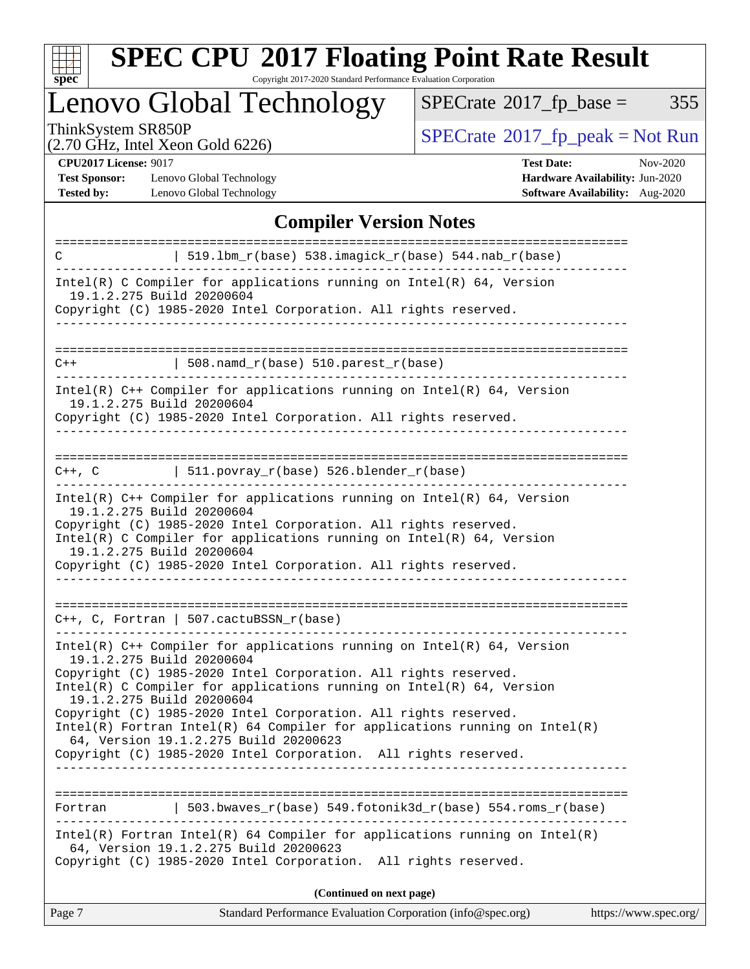

Copyright 2017-2020 Standard Performance Evaluation Corporation

Lenovo Global Technology

 $SPECrate@2017_fp\_base = 355$  $SPECrate@2017_fp\_base = 355$ 

(2.70 GHz, Intel Xeon Gold 6226)

ThinkSystem SR850P<br>  $(2.70 \text{ GHz})$  Intel Yeon Gold 6226)

**[CPU2017 License:](http://www.spec.org/auto/cpu2017/Docs/result-fields.html#CPU2017License)** 9017

**[Test Sponsor:](http://www.spec.org/auto/cpu2017/Docs/result-fields.html#TestSponsor)** Lenovo Global Technology **[Tested by:](http://www.spec.org/auto/cpu2017/Docs/result-fields.html#Testedby)** Lenovo Global Technology **[Software Availability:](http://www.spec.org/auto/cpu2017/Docs/result-fields.html#SoftwareAvailability)** Aug-2020

| <b>Test Date:</b>               | Nov-2020 |
|---------------------------------|----------|
| Hardware Availability: Jun-2020 |          |
| $\mathbf{C}$                    |          |

### **[Compiler Version Notes](http://www.spec.org/auto/cpu2017/Docs/result-fields.html#CompilerVersionNotes)**

| 519.1bm_r(base) 538.imagick_r(base) 544.nab_r(base)<br>C                                                                                                                                                                                                                                                                                            |  |  |  |  |  |
|-----------------------------------------------------------------------------------------------------------------------------------------------------------------------------------------------------------------------------------------------------------------------------------------------------------------------------------------------------|--|--|--|--|--|
| Intel(R) C Compiler for applications running on $Intel(R) 64$ , Version<br>19.1.2.275 Build 20200604                                                                                                                                                                                                                                                |  |  |  |  |  |
| Copyright (C) 1985-2020 Intel Corporation. All rights reserved.                                                                                                                                                                                                                                                                                     |  |  |  |  |  |
|                                                                                                                                                                                                                                                                                                                                                     |  |  |  |  |  |
| 508. namd $r(base)$ 510. parest $r(base)$<br>$C++$                                                                                                                                                                                                                                                                                                  |  |  |  |  |  |
| $Intel(R)$ C++ Compiler for applications running on $Intel(R)$ 64, Version<br>19.1.2.275 Build 20200604<br>Copyright (C) 1985-2020 Intel Corporation. All rights reserved.                                                                                                                                                                          |  |  |  |  |  |
| ==========================<br>  511.povray_r(base) 526.blender_r(base)<br>C++, C                                                                                                                                                                                                                                                                    |  |  |  |  |  |
| Intel(R) $C++$ Compiler for applications running on Intel(R) 64, Version<br>19.1.2.275 Build 20200604<br>Copyright (C) 1985-2020 Intel Corporation. All rights reserved.<br>Intel(R) C Compiler for applications running on $Intel(R) 64$ , Version<br>19.1.2.275 Build 20200604<br>Copyright (C) 1985-2020 Intel Corporation. All rights reserved. |  |  |  |  |  |
| $C++$ , C, Fortran   507.cactuBSSN_r(base)                                                                                                                                                                                                                                                                                                          |  |  |  |  |  |
| Intel(R) $C++$ Compiler for applications running on Intel(R) 64, Version<br>19.1.2.275 Build 20200604<br>Copyright (C) 1985-2020 Intel Corporation. All rights reserved.<br>Intel(R) C Compiler for applications running on $Intel(R) 64$ , Version                                                                                                 |  |  |  |  |  |
| 19.1.2.275 Build 20200604<br>Copyright (C) 1985-2020 Intel Corporation. All rights reserved.<br>$Intel(R)$ Fortran Intel(R) 64 Compiler for applications running on Intel(R)<br>64, Version 19.1.2.275 Build 20200623<br>Copyright (C) 1985-2020 Intel Corporation. All rights reserved.                                                            |  |  |  |  |  |
| 503.bwaves_r(base) 549.fotonik3d_r(base) 554.roms_r(base)<br>Fortran                                                                                                                                                                                                                                                                                |  |  |  |  |  |
| Intel(R) Fortran Intel(R) 64 Compiler for applications running on $Intel(R)$<br>64, Version 19.1.2.275 Build 20200623<br>Copyright (C) 1985-2020 Intel Corporation. All rights reserved.                                                                                                                                                            |  |  |  |  |  |
| (Continued on next page)                                                                                                                                                                                                                                                                                                                            |  |  |  |  |  |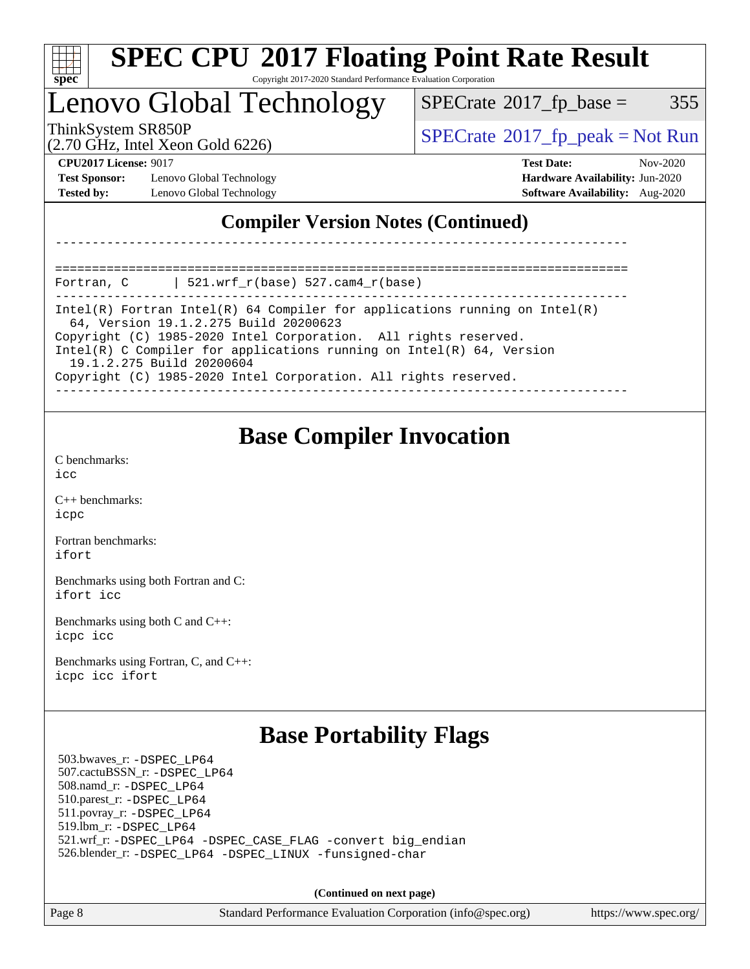

### Lenovo Global Technology

 $SPECTate$ <sup>®</sup>[2017\\_fp\\_base =](http://www.spec.org/auto/cpu2017/Docs/result-fields.html#SPECrate2017fpbase) 355

(2.70 GHz, Intel Xeon Gold 6226)

ThinkSystem SR850P<br>  $\begin{array}{c} \text{SPECTR}_{20} \text{SVD} \\ \text{SPECTR}_{20} \text{SVD} \end{array}$  [SPECrate](http://www.spec.org/auto/cpu2017/Docs/result-fields.html#SPECrate2017fppeak)®[2017\\_fp\\_peak = N](http://www.spec.org/auto/cpu2017/Docs/result-fields.html#SPECrate2017fppeak)ot Run

**[Test Sponsor:](http://www.spec.org/auto/cpu2017/Docs/result-fields.html#TestSponsor)** Lenovo Global Technology **[Hardware Availability:](http://www.spec.org/auto/cpu2017/Docs/result-fields.html#HardwareAvailability)** Jun-2020 **[Tested by:](http://www.spec.org/auto/cpu2017/Docs/result-fields.html#Testedby)** Lenovo Global Technology **[Software Availability:](http://www.spec.org/auto/cpu2017/Docs/result-fields.html#SoftwareAvailability)** Aug-2020

**[CPU2017 License:](http://www.spec.org/auto/cpu2017/Docs/result-fields.html#CPU2017License)** 9017 **[Test Date:](http://www.spec.org/auto/cpu2017/Docs/result-fields.html#TestDate)** Nov-2020

### **[Compiler Version Notes \(Continued\)](http://www.spec.org/auto/cpu2017/Docs/result-fields.html#CompilerVersionNotes)**

==============================================================================

Fortran, C | 521.wrf\_r(base) 527.cam4\_r(base) ------------------------------------------------------------------------------

Intel(R) Fortran Intel(R) 64 Compiler for applications running on Intel(R) 64, Version 19.1.2.275 Build 20200623 Copyright (C) 1985-2020 Intel Corporation. All rights reserved. Intel(R) C Compiler for applications running on Intel(R) 64, Version 19.1.2.275 Build 20200604

------------------------------------------------------------------------------

Copyright (C) 1985-2020 Intel Corporation. All rights reserved.

------------------------------------------------------------------------------

### **[Base Compiler Invocation](http://www.spec.org/auto/cpu2017/Docs/result-fields.html#BaseCompilerInvocation)**

[C benchmarks](http://www.spec.org/auto/cpu2017/Docs/result-fields.html#Cbenchmarks): [icc](http://www.spec.org/cpu2017/results/res2020q4/cpu2017-20201207-24519.flags.html#user_CCbase_intel_icc_66fc1ee009f7361af1fbd72ca7dcefbb700085f36577c54f309893dd4ec40d12360134090235512931783d35fd58c0460139e722d5067c5574d8eaf2b3e37e92)

[C++ benchmarks:](http://www.spec.org/auto/cpu2017/Docs/result-fields.html#CXXbenchmarks) [icpc](http://www.spec.org/cpu2017/results/res2020q4/cpu2017-20201207-24519.flags.html#user_CXXbase_intel_icpc_c510b6838c7f56d33e37e94d029a35b4a7bccf4766a728ee175e80a419847e808290a9b78be685c44ab727ea267ec2f070ec5dc83b407c0218cded6866a35d07)

[Fortran benchmarks](http://www.spec.org/auto/cpu2017/Docs/result-fields.html#Fortranbenchmarks): [ifort](http://www.spec.org/cpu2017/results/res2020q4/cpu2017-20201207-24519.flags.html#user_FCbase_intel_ifort_8111460550e3ca792625aed983ce982f94888b8b503583aa7ba2b8303487b4d8a21a13e7191a45c5fd58ff318f48f9492884d4413fa793fd88dd292cad7027ca)

[Benchmarks using both Fortran and C](http://www.spec.org/auto/cpu2017/Docs/result-fields.html#BenchmarksusingbothFortranandC): [ifort](http://www.spec.org/cpu2017/results/res2020q4/cpu2017-20201207-24519.flags.html#user_CC_FCbase_intel_ifort_8111460550e3ca792625aed983ce982f94888b8b503583aa7ba2b8303487b4d8a21a13e7191a45c5fd58ff318f48f9492884d4413fa793fd88dd292cad7027ca) [icc](http://www.spec.org/cpu2017/results/res2020q4/cpu2017-20201207-24519.flags.html#user_CC_FCbase_intel_icc_66fc1ee009f7361af1fbd72ca7dcefbb700085f36577c54f309893dd4ec40d12360134090235512931783d35fd58c0460139e722d5067c5574d8eaf2b3e37e92)

[Benchmarks using both C and C++](http://www.spec.org/auto/cpu2017/Docs/result-fields.html#BenchmarksusingbothCandCXX): [icpc](http://www.spec.org/cpu2017/results/res2020q4/cpu2017-20201207-24519.flags.html#user_CC_CXXbase_intel_icpc_c510b6838c7f56d33e37e94d029a35b4a7bccf4766a728ee175e80a419847e808290a9b78be685c44ab727ea267ec2f070ec5dc83b407c0218cded6866a35d07) [icc](http://www.spec.org/cpu2017/results/res2020q4/cpu2017-20201207-24519.flags.html#user_CC_CXXbase_intel_icc_66fc1ee009f7361af1fbd72ca7dcefbb700085f36577c54f309893dd4ec40d12360134090235512931783d35fd58c0460139e722d5067c5574d8eaf2b3e37e92)

[Benchmarks using Fortran, C, and C++:](http://www.spec.org/auto/cpu2017/Docs/result-fields.html#BenchmarksusingFortranCandCXX) [icpc](http://www.spec.org/cpu2017/results/res2020q4/cpu2017-20201207-24519.flags.html#user_CC_CXX_FCbase_intel_icpc_c510b6838c7f56d33e37e94d029a35b4a7bccf4766a728ee175e80a419847e808290a9b78be685c44ab727ea267ec2f070ec5dc83b407c0218cded6866a35d07) [icc](http://www.spec.org/cpu2017/results/res2020q4/cpu2017-20201207-24519.flags.html#user_CC_CXX_FCbase_intel_icc_66fc1ee009f7361af1fbd72ca7dcefbb700085f36577c54f309893dd4ec40d12360134090235512931783d35fd58c0460139e722d5067c5574d8eaf2b3e37e92) [ifort](http://www.spec.org/cpu2017/results/res2020q4/cpu2017-20201207-24519.flags.html#user_CC_CXX_FCbase_intel_ifort_8111460550e3ca792625aed983ce982f94888b8b503583aa7ba2b8303487b4d8a21a13e7191a45c5fd58ff318f48f9492884d4413fa793fd88dd292cad7027ca)

### **[Base Portability Flags](http://www.spec.org/auto/cpu2017/Docs/result-fields.html#BasePortabilityFlags)**

 503.bwaves\_r: [-DSPEC\\_LP64](http://www.spec.org/cpu2017/results/res2020q4/cpu2017-20201207-24519.flags.html#suite_basePORTABILITY503_bwaves_r_DSPEC_LP64) 507.cactuBSSN\_r: [-DSPEC\\_LP64](http://www.spec.org/cpu2017/results/res2020q4/cpu2017-20201207-24519.flags.html#suite_basePORTABILITY507_cactuBSSN_r_DSPEC_LP64) 508.namd\_r: [-DSPEC\\_LP64](http://www.spec.org/cpu2017/results/res2020q4/cpu2017-20201207-24519.flags.html#suite_basePORTABILITY508_namd_r_DSPEC_LP64) 510.parest\_r: [-DSPEC\\_LP64](http://www.spec.org/cpu2017/results/res2020q4/cpu2017-20201207-24519.flags.html#suite_basePORTABILITY510_parest_r_DSPEC_LP64) 511.povray\_r: [-DSPEC\\_LP64](http://www.spec.org/cpu2017/results/res2020q4/cpu2017-20201207-24519.flags.html#suite_basePORTABILITY511_povray_r_DSPEC_LP64) 519.lbm\_r: [-DSPEC\\_LP64](http://www.spec.org/cpu2017/results/res2020q4/cpu2017-20201207-24519.flags.html#suite_basePORTABILITY519_lbm_r_DSPEC_LP64) 521.wrf\_r: [-DSPEC\\_LP64](http://www.spec.org/cpu2017/results/res2020q4/cpu2017-20201207-24519.flags.html#suite_basePORTABILITY521_wrf_r_DSPEC_LP64) [-DSPEC\\_CASE\\_FLAG](http://www.spec.org/cpu2017/results/res2020q4/cpu2017-20201207-24519.flags.html#b521.wrf_r_baseCPORTABILITY_DSPEC_CASE_FLAG) [-convert big\\_endian](http://www.spec.org/cpu2017/results/res2020q4/cpu2017-20201207-24519.flags.html#user_baseFPORTABILITY521_wrf_r_convert_big_endian_c3194028bc08c63ac5d04de18c48ce6d347e4e562e8892b8bdbdc0214820426deb8554edfa529a3fb25a586e65a3d812c835984020483e7e73212c4d31a38223) 526.blender\_r: [-DSPEC\\_LP64](http://www.spec.org/cpu2017/results/res2020q4/cpu2017-20201207-24519.flags.html#suite_basePORTABILITY526_blender_r_DSPEC_LP64) [-DSPEC\\_LINUX](http://www.spec.org/cpu2017/results/res2020q4/cpu2017-20201207-24519.flags.html#b526.blender_r_baseCPORTABILITY_DSPEC_LINUX) [-funsigned-char](http://www.spec.org/cpu2017/results/res2020q4/cpu2017-20201207-24519.flags.html#user_baseCPORTABILITY526_blender_r_force_uchar_40c60f00ab013830e2dd6774aeded3ff59883ba5a1fc5fc14077f794d777847726e2a5858cbc7672e36e1b067e7e5c1d9a74f7176df07886a243d7cc18edfe67)

**(Continued on next page)**

Page 8 Standard Performance Evaluation Corporation [\(info@spec.org\)](mailto:info@spec.org) <https://www.spec.org/>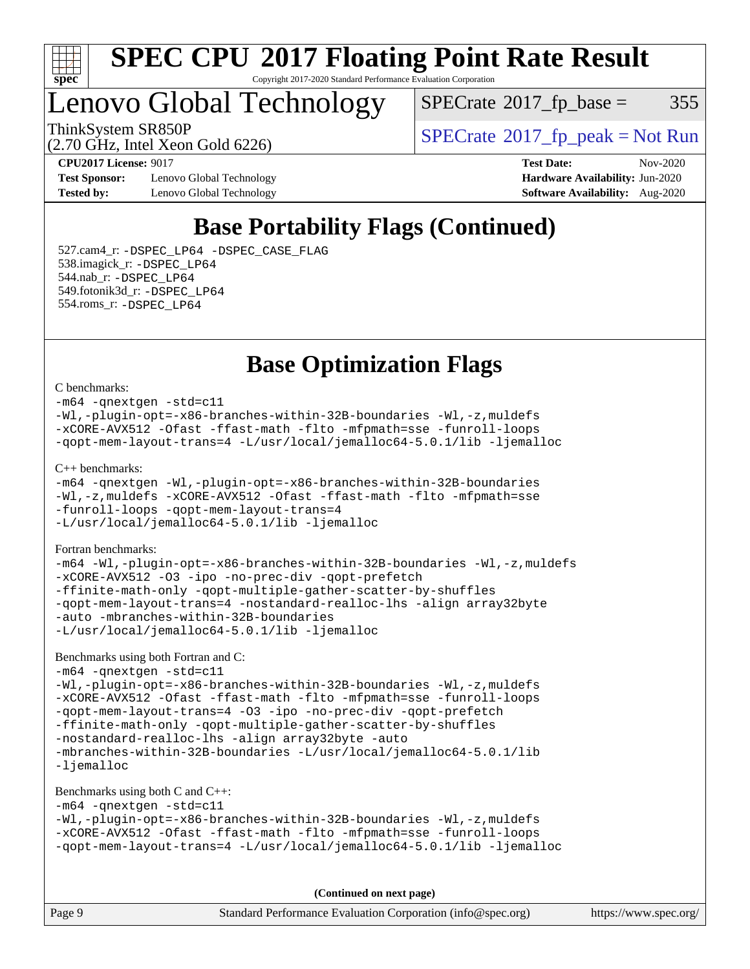

### Lenovo Global Technology

 $SPECTate$ <sup>®</sup>[2017\\_fp\\_base =](http://www.spec.org/auto/cpu2017/Docs/result-fields.html#SPECrate2017fpbase) 355

ThinkSystem SR850P<br>  $SPECTI<sub>2</sub> 30 GHz, Intel Yesn Gold 6226$ <br>  $SPECTI<sub>2</sub> 30 GHz, Intel Yesn Gal 6226$ 

(2.70 GHz, Intel Xeon Gold 6226)

**[Test Sponsor:](http://www.spec.org/auto/cpu2017/Docs/result-fields.html#TestSponsor)** Lenovo Global Technology **[Hardware Availability:](http://www.spec.org/auto/cpu2017/Docs/result-fields.html#HardwareAvailability)** Jun-2020 **[Tested by:](http://www.spec.org/auto/cpu2017/Docs/result-fields.html#Testedby)** Lenovo Global Technology **[Software Availability:](http://www.spec.org/auto/cpu2017/Docs/result-fields.html#SoftwareAvailability)** Aug-2020

**[CPU2017 License:](http://www.spec.org/auto/cpu2017/Docs/result-fields.html#CPU2017License)** 9017 **[Test Date:](http://www.spec.org/auto/cpu2017/Docs/result-fields.html#TestDate)** Nov-2020

### **[Base Portability Flags \(Continued\)](http://www.spec.org/auto/cpu2017/Docs/result-fields.html#BasePortabilityFlags)**

 527.cam4\_r: [-DSPEC\\_LP64](http://www.spec.org/cpu2017/results/res2020q4/cpu2017-20201207-24519.flags.html#suite_basePORTABILITY527_cam4_r_DSPEC_LP64) [-DSPEC\\_CASE\\_FLAG](http://www.spec.org/cpu2017/results/res2020q4/cpu2017-20201207-24519.flags.html#b527.cam4_r_baseCPORTABILITY_DSPEC_CASE_FLAG) 538.imagick\_r: [-DSPEC\\_LP64](http://www.spec.org/cpu2017/results/res2020q4/cpu2017-20201207-24519.flags.html#suite_basePORTABILITY538_imagick_r_DSPEC_LP64) 544.nab\_r: [-DSPEC\\_LP64](http://www.spec.org/cpu2017/results/res2020q4/cpu2017-20201207-24519.flags.html#suite_basePORTABILITY544_nab_r_DSPEC_LP64) 549.fotonik3d\_r: [-DSPEC\\_LP64](http://www.spec.org/cpu2017/results/res2020q4/cpu2017-20201207-24519.flags.html#suite_basePORTABILITY549_fotonik3d_r_DSPEC_LP64) 554.roms\_r: [-DSPEC\\_LP64](http://www.spec.org/cpu2017/results/res2020q4/cpu2017-20201207-24519.flags.html#suite_basePORTABILITY554_roms_r_DSPEC_LP64)

### **[Base Optimization Flags](http://www.spec.org/auto/cpu2017/Docs/result-fields.html#BaseOptimizationFlags)**

#### [C benchmarks](http://www.spec.org/auto/cpu2017/Docs/result-fields.html#Cbenchmarks):

[-m64](http://www.spec.org/cpu2017/results/res2020q4/cpu2017-20201207-24519.flags.html#user_CCbase_m64-icc) [-qnextgen](http://www.spec.org/cpu2017/results/res2020q4/cpu2017-20201207-24519.flags.html#user_CCbase_f-qnextgen) [-std=c11](http://www.spec.org/cpu2017/results/res2020q4/cpu2017-20201207-24519.flags.html#user_CCbase_std-icc-std_0e1c27790398a4642dfca32ffe6c27b5796f9c2d2676156f2e42c9c44eaad0c049b1cdb667a270c34d979996257aeb8fc440bfb01818dbc9357bd9d174cb8524) [-Wl,-plugin-opt=-x86-branches-within-32B-boundaries](http://www.spec.org/cpu2017/results/res2020q4/cpu2017-20201207-24519.flags.html#user_CCbase_f-x86-branches-within-32B-boundaries_0098b4e4317ae60947b7b728078a624952a08ac37a3c797dfb4ffeb399e0c61a9dd0f2f44ce917e9361fb9076ccb15e7824594512dd315205382d84209e912f3) [-Wl,-z,muldefs](http://www.spec.org/cpu2017/results/res2020q4/cpu2017-20201207-24519.flags.html#user_CCbase_link_force_multiple1_b4cbdb97b34bdee9ceefcfe54f4c8ea74255f0b02a4b23e853cdb0e18eb4525ac79b5a88067c842dd0ee6996c24547a27a4b99331201badda8798ef8a743f577) [-xCORE-AVX512](http://www.spec.org/cpu2017/results/res2020q4/cpu2017-20201207-24519.flags.html#user_CCbase_f-xCORE-AVX512) [-Ofast](http://www.spec.org/cpu2017/results/res2020q4/cpu2017-20201207-24519.flags.html#user_CCbase_f-Ofast) [-ffast-math](http://www.spec.org/cpu2017/results/res2020q4/cpu2017-20201207-24519.flags.html#user_CCbase_f-ffast-math) [-flto](http://www.spec.org/cpu2017/results/res2020q4/cpu2017-20201207-24519.flags.html#user_CCbase_f-flto) [-mfpmath=sse](http://www.spec.org/cpu2017/results/res2020q4/cpu2017-20201207-24519.flags.html#user_CCbase_f-mfpmath_70eb8fac26bde974f8ab713bc9086c5621c0b8d2f6c86f38af0bd7062540daf19db5f3a066d8c6684be05d84c9b6322eb3b5be6619d967835195b93d6c02afa1) [-funroll-loops](http://www.spec.org/cpu2017/results/res2020q4/cpu2017-20201207-24519.flags.html#user_CCbase_f-funroll-loops) [-qopt-mem-layout-trans=4](http://www.spec.org/cpu2017/results/res2020q4/cpu2017-20201207-24519.flags.html#user_CCbase_f-qopt-mem-layout-trans_fa39e755916c150a61361b7846f310bcdf6f04e385ef281cadf3647acec3f0ae266d1a1d22d972a7087a248fd4e6ca390a3634700869573d231a252c784941a8) [-L/usr/local/jemalloc64-5.0.1/lib](http://www.spec.org/cpu2017/results/res2020q4/cpu2017-20201207-24519.flags.html#user_CCbase_jemalloc_link_path64_1_cc289568b1a6c0fd3b62c91b824c27fcb5af5e8098e6ad028160d21144ef1b8aef3170d2acf0bee98a8da324cfe4f67d0a3d0c4cc4673d993d694dc2a0df248b) [-ljemalloc](http://www.spec.org/cpu2017/results/res2020q4/cpu2017-20201207-24519.flags.html#user_CCbase_jemalloc_link_lib_d1249b907c500fa1c0672f44f562e3d0f79738ae9e3c4a9c376d49f265a04b9c99b167ecedbf6711b3085be911c67ff61f150a17b3472be731631ba4d0471706) [C++ benchmarks:](http://www.spec.org/auto/cpu2017/Docs/result-fields.html#CXXbenchmarks) [-m64](http://www.spec.org/cpu2017/results/res2020q4/cpu2017-20201207-24519.flags.html#user_CXXbase_m64-icc) [-qnextgen](http://www.spec.org/cpu2017/results/res2020q4/cpu2017-20201207-24519.flags.html#user_CXXbase_f-qnextgen) [-Wl,-plugin-opt=-x86-branches-within-32B-boundaries](http://www.spec.org/cpu2017/results/res2020q4/cpu2017-20201207-24519.flags.html#user_CXXbase_f-x86-branches-within-32B-boundaries_0098b4e4317ae60947b7b728078a624952a08ac37a3c797dfb4ffeb399e0c61a9dd0f2f44ce917e9361fb9076ccb15e7824594512dd315205382d84209e912f3) [-Wl,-z,muldefs](http://www.spec.org/cpu2017/results/res2020q4/cpu2017-20201207-24519.flags.html#user_CXXbase_link_force_multiple1_b4cbdb97b34bdee9ceefcfe54f4c8ea74255f0b02a4b23e853cdb0e18eb4525ac79b5a88067c842dd0ee6996c24547a27a4b99331201badda8798ef8a743f577) [-xCORE-AVX512](http://www.spec.org/cpu2017/results/res2020q4/cpu2017-20201207-24519.flags.html#user_CXXbase_f-xCORE-AVX512) [-Ofast](http://www.spec.org/cpu2017/results/res2020q4/cpu2017-20201207-24519.flags.html#user_CXXbase_f-Ofast) [-ffast-math](http://www.spec.org/cpu2017/results/res2020q4/cpu2017-20201207-24519.flags.html#user_CXXbase_f-ffast-math) [-flto](http://www.spec.org/cpu2017/results/res2020q4/cpu2017-20201207-24519.flags.html#user_CXXbase_f-flto) [-mfpmath=sse](http://www.spec.org/cpu2017/results/res2020q4/cpu2017-20201207-24519.flags.html#user_CXXbase_f-mfpmath_70eb8fac26bde974f8ab713bc9086c5621c0b8d2f6c86f38af0bd7062540daf19db5f3a066d8c6684be05d84c9b6322eb3b5be6619d967835195b93d6c02afa1) [-funroll-loops](http://www.spec.org/cpu2017/results/res2020q4/cpu2017-20201207-24519.flags.html#user_CXXbase_f-funroll-loops) [-qopt-mem-layout-trans=4](http://www.spec.org/cpu2017/results/res2020q4/cpu2017-20201207-24519.flags.html#user_CXXbase_f-qopt-mem-layout-trans_fa39e755916c150a61361b7846f310bcdf6f04e385ef281cadf3647acec3f0ae266d1a1d22d972a7087a248fd4e6ca390a3634700869573d231a252c784941a8) [-L/usr/local/jemalloc64-5.0.1/lib](http://www.spec.org/cpu2017/results/res2020q4/cpu2017-20201207-24519.flags.html#user_CXXbase_jemalloc_link_path64_1_cc289568b1a6c0fd3b62c91b824c27fcb5af5e8098e6ad028160d21144ef1b8aef3170d2acf0bee98a8da324cfe4f67d0a3d0c4cc4673d993d694dc2a0df248b) [-ljemalloc](http://www.spec.org/cpu2017/results/res2020q4/cpu2017-20201207-24519.flags.html#user_CXXbase_jemalloc_link_lib_d1249b907c500fa1c0672f44f562e3d0f79738ae9e3c4a9c376d49f265a04b9c99b167ecedbf6711b3085be911c67ff61f150a17b3472be731631ba4d0471706) [Fortran benchmarks](http://www.spec.org/auto/cpu2017/Docs/result-fields.html#Fortranbenchmarks): [-m64](http://www.spec.org/cpu2017/results/res2020q4/cpu2017-20201207-24519.flags.html#user_FCbase_m64-icc) [-Wl,-plugin-opt=-x86-branches-within-32B-boundaries](http://www.spec.org/cpu2017/results/res2020q4/cpu2017-20201207-24519.flags.html#user_FCbase_f-x86-branches-within-32B-boundaries_0098b4e4317ae60947b7b728078a624952a08ac37a3c797dfb4ffeb399e0c61a9dd0f2f44ce917e9361fb9076ccb15e7824594512dd315205382d84209e912f3) [-Wl,-z,muldefs](http://www.spec.org/cpu2017/results/res2020q4/cpu2017-20201207-24519.flags.html#user_FCbase_link_force_multiple1_b4cbdb97b34bdee9ceefcfe54f4c8ea74255f0b02a4b23e853cdb0e18eb4525ac79b5a88067c842dd0ee6996c24547a27a4b99331201badda8798ef8a743f577) [-xCORE-AVX512](http://www.spec.org/cpu2017/results/res2020q4/cpu2017-20201207-24519.flags.html#user_FCbase_f-xCORE-AVX512) [-O3](http://www.spec.org/cpu2017/results/res2020q4/cpu2017-20201207-24519.flags.html#user_FCbase_f-O3) [-ipo](http://www.spec.org/cpu2017/results/res2020q4/cpu2017-20201207-24519.flags.html#user_FCbase_f-ipo) [-no-prec-div](http://www.spec.org/cpu2017/results/res2020q4/cpu2017-20201207-24519.flags.html#user_FCbase_f-no-prec-div) [-qopt-prefetch](http://www.spec.org/cpu2017/results/res2020q4/cpu2017-20201207-24519.flags.html#user_FCbase_f-qopt-prefetch) [-ffinite-math-only](http://www.spec.org/cpu2017/results/res2020q4/cpu2017-20201207-24519.flags.html#user_FCbase_f_finite_math_only_cb91587bd2077682c4b38af759c288ed7c732db004271a9512da14a4f8007909a5f1427ecbf1a0fb78ff2a814402c6114ac565ca162485bbcae155b5e4258871) [-qopt-multiple-gather-scatter-by-shuffles](http://www.spec.org/cpu2017/results/res2020q4/cpu2017-20201207-24519.flags.html#user_FCbase_f-qopt-multiple-gather-scatter-by-shuffles) [-qopt-mem-layout-trans=4](http://www.spec.org/cpu2017/results/res2020q4/cpu2017-20201207-24519.flags.html#user_FCbase_f-qopt-mem-layout-trans_fa39e755916c150a61361b7846f310bcdf6f04e385ef281cadf3647acec3f0ae266d1a1d22d972a7087a248fd4e6ca390a3634700869573d231a252c784941a8) [-nostandard-realloc-lhs](http://www.spec.org/cpu2017/results/res2020q4/cpu2017-20201207-24519.flags.html#user_FCbase_f_2003_std_realloc_82b4557e90729c0f113870c07e44d33d6f5a304b4f63d4c15d2d0f1fab99f5daaed73bdb9275d9ae411527f28b936061aa8b9c8f2d63842963b95c9dd6426b8a) [-align array32byte](http://www.spec.org/cpu2017/results/res2020q4/cpu2017-20201207-24519.flags.html#user_FCbase_align_array32byte_b982fe038af199962ba9a80c053b8342c548c85b40b8e86eb3cc33dee0d7986a4af373ac2d51c3f7cf710a18d62fdce2948f201cd044323541f22fc0fffc51b6) [-auto](http://www.spec.org/cpu2017/results/res2020q4/cpu2017-20201207-24519.flags.html#user_FCbase_f-auto) [-mbranches-within-32B-boundaries](http://www.spec.org/cpu2017/results/res2020q4/cpu2017-20201207-24519.flags.html#user_FCbase_f-mbranches-within-32B-boundaries) [-L/usr/local/jemalloc64-5.0.1/lib](http://www.spec.org/cpu2017/results/res2020q4/cpu2017-20201207-24519.flags.html#user_FCbase_jemalloc_link_path64_1_cc289568b1a6c0fd3b62c91b824c27fcb5af5e8098e6ad028160d21144ef1b8aef3170d2acf0bee98a8da324cfe4f67d0a3d0c4cc4673d993d694dc2a0df248b) [-ljemalloc](http://www.spec.org/cpu2017/results/res2020q4/cpu2017-20201207-24519.flags.html#user_FCbase_jemalloc_link_lib_d1249b907c500fa1c0672f44f562e3d0f79738ae9e3c4a9c376d49f265a04b9c99b167ecedbf6711b3085be911c67ff61f150a17b3472be731631ba4d0471706)

[Benchmarks using both Fortran and C](http://www.spec.org/auto/cpu2017/Docs/result-fields.html#BenchmarksusingbothFortranandC):

[-m64](http://www.spec.org/cpu2017/results/res2020q4/cpu2017-20201207-24519.flags.html#user_CC_FCbase_m64-icc) [-qnextgen](http://www.spec.org/cpu2017/results/res2020q4/cpu2017-20201207-24519.flags.html#user_CC_FCbase_f-qnextgen) [-std=c11](http://www.spec.org/cpu2017/results/res2020q4/cpu2017-20201207-24519.flags.html#user_CC_FCbase_std-icc-std_0e1c27790398a4642dfca32ffe6c27b5796f9c2d2676156f2e42c9c44eaad0c049b1cdb667a270c34d979996257aeb8fc440bfb01818dbc9357bd9d174cb8524) [-Wl,-plugin-opt=-x86-branches-within-32B-boundaries](http://www.spec.org/cpu2017/results/res2020q4/cpu2017-20201207-24519.flags.html#user_CC_FCbase_f-x86-branches-within-32B-boundaries_0098b4e4317ae60947b7b728078a624952a08ac37a3c797dfb4ffeb399e0c61a9dd0f2f44ce917e9361fb9076ccb15e7824594512dd315205382d84209e912f3) [-Wl,-z,muldefs](http://www.spec.org/cpu2017/results/res2020q4/cpu2017-20201207-24519.flags.html#user_CC_FCbase_link_force_multiple1_b4cbdb97b34bdee9ceefcfe54f4c8ea74255f0b02a4b23e853cdb0e18eb4525ac79b5a88067c842dd0ee6996c24547a27a4b99331201badda8798ef8a743f577) [-xCORE-AVX512](http://www.spec.org/cpu2017/results/res2020q4/cpu2017-20201207-24519.flags.html#user_CC_FCbase_f-xCORE-AVX512) [-Ofast](http://www.spec.org/cpu2017/results/res2020q4/cpu2017-20201207-24519.flags.html#user_CC_FCbase_f-Ofast) [-ffast-math](http://www.spec.org/cpu2017/results/res2020q4/cpu2017-20201207-24519.flags.html#user_CC_FCbase_f-ffast-math) [-flto](http://www.spec.org/cpu2017/results/res2020q4/cpu2017-20201207-24519.flags.html#user_CC_FCbase_f-flto) [-mfpmath=sse](http://www.spec.org/cpu2017/results/res2020q4/cpu2017-20201207-24519.flags.html#user_CC_FCbase_f-mfpmath_70eb8fac26bde974f8ab713bc9086c5621c0b8d2f6c86f38af0bd7062540daf19db5f3a066d8c6684be05d84c9b6322eb3b5be6619d967835195b93d6c02afa1) [-funroll-loops](http://www.spec.org/cpu2017/results/res2020q4/cpu2017-20201207-24519.flags.html#user_CC_FCbase_f-funroll-loops) [-qopt-mem-layout-trans=4](http://www.spec.org/cpu2017/results/res2020q4/cpu2017-20201207-24519.flags.html#user_CC_FCbase_f-qopt-mem-layout-trans_fa39e755916c150a61361b7846f310bcdf6f04e385ef281cadf3647acec3f0ae266d1a1d22d972a7087a248fd4e6ca390a3634700869573d231a252c784941a8) [-O3](http://www.spec.org/cpu2017/results/res2020q4/cpu2017-20201207-24519.flags.html#user_CC_FCbase_f-O3) [-ipo](http://www.spec.org/cpu2017/results/res2020q4/cpu2017-20201207-24519.flags.html#user_CC_FCbase_f-ipo) [-no-prec-div](http://www.spec.org/cpu2017/results/res2020q4/cpu2017-20201207-24519.flags.html#user_CC_FCbase_f-no-prec-div) [-qopt-prefetch](http://www.spec.org/cpu2017/results/res2020q4/cpu2017-20201207-24519.flags.html#user_CC_FCbase_f-qopt-prefetch) [-ffinite-math-only](http://www.spec.org/cpu2017/results/res2020q4/cpu2017-20201207-24519.flags.html#user_CC_FCbase_f_finite_math_only_cb91587bd2077682c4b38af759c288ed7c732db004271a9512da14a4f8007909a5f1427ecbf1a0fb78ff2a814402c6114ac565ca162485bbcae155b5e4258871) [-qopt-multiple-gather-scatter-by-shuffles](http://www.spec.org/cpu2017/results/res2020q4/cpu2017-20201207-24519.flags.html#user_CC_FCbase_f-qopt-multiple-gather-scatter-by-shuffles) [-nostandard-realloc-lhs](http://www.spec.org/cpu2017/results/res2020q4/cpu2017-20201207-24519.flags.html#user_CC_FCbase_f_2003_std_realloc_82b4557e90729c0f113870c07e44d33d6f5a304b4f63d4c15d2d0f1fab99f5daaed73bdb9275d9ae411527f28b936061aa8b9c8f2d63842963b95c9dd6426b8a) [-align array32byte](http://www.spec.org/cpu2017/results/res2020q4/cpu2017-20201207-24519.flags.html#user_CC_FCbase_align_array32byte_b982fe038af199962ba9a80c053b8342c548c85b40b8e86eb3cc33dee0d7986a4af373ac2d51c3f7cf710a18d62fdce2948f201cd044323541f22fc0fffc51b6) [-auto](http://www.spec.org/cpu2017/results/res2020q4/cpu2017-20201207-24519.flags.html#user_CC_FCbase_f-auto) [-mbranches-within-32B-boundaries](http://www.spec.org/cpu2017/results/res2020q4/cpu2017-20201207-24519.flags.html#user_CC_FCbase_f-mbranches-within-32B-boundaries) [-L/usr/local/jemalloc64-5.0.1/lib](http://www.spec.org/cpu2017/results/res2020q4/cpu2017-20201207-24519.flags.html#user_CC_FCbase_jemalloc_link_path64_1_cc289568b1a6c0fd3b62c91b824c27fcb5af5e8098e6ad028160d21144ef1b8aef3170d2acf0bee98a8da324cfe4f67d0a3d0c4cc4673d993d694dc2a0df248b) [-ljemalloc](http://www.spec.org/cpu2017/results/res2020q4/cpu2017-20201207-24519.flags.html#user_CC_FCbase_jemalloc_link_lib_d1249b907c500fa1c0672f44f562e3d0f79738ae9e3c4a9c376d49f265a04b9c99b167ecedbf6711b3085be911c67ff61f150a17b3472be731631ba4d0471706)

#### [Benchmarks using both C and C++](http://www.spec.org/auto/cpu2017/Docs/result-fields.html#BenchmarksusingbothCandCXX):

```
-m64 -qnextgen -std=c11
-Wl,-plugin-opt=-x86-branches-within-32B-boundaries -Wl,-z,muldefs
-xCORE-AVX512 -Ofast -ffast-math -flto -mfpmath=sse -funroll-loops
-qopt-mem-layout-trans=4 -L/usr/local/jemalloc64-5.0.1/lib -ljemalloc
```
**(Continued on next page)**